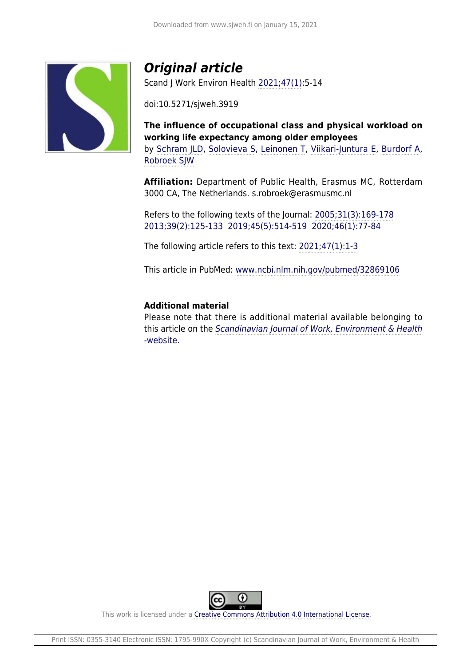

# *Original article*

Scand J Work Environ Health [2021;47\(1\):](https://www.sjweh.fi/show_issue.php?issue_id=346)5-14

doi:10.5271/sjweh.3919

**The influence of occupational class and physical workload on working life expectancy among older employees** by [Schram JLD,](https://www.sjweh.fi/index.php?page=list-articles&author_id=9634) [Solovieva S,](https://www.sjweh.fi/index.php?page=list-articles&author_id=2538) [Leinonen T](https://www.sjweh.fi/index.php?page=list-articles&author_id=6471), [Viikari-Juntura E](https://www.sjweh.fi/index.php?page=list-articles&author_id=466), [Burdorf A,](https://www.sjweh.fi/index.php?page=list-articles&author_id=7) [Robroek SJW](https://www.sjweh.fi/index.php?page=list-articles&author_id=7008)

**Affiliation:** Department of Public Health, Erasmus MC, Rotterdam 3000 CA, The Netherlands. s.robroek@erasmusmc.nl

Refers to the following texts of the Journal: [2005;31\(3\):169-178](https://www.sjweh.fi/show_abstract.php?abstract_id=866) [2013;39\(2\):125-133](https://www.sjweh.fi/show_abstract.php?abstract_id=3319) [2019;45\(5\):514-519](https://www.sjweh.fi/show_abstract.php?abstract_id=3828) [2020;46\(1\):77-84](https://www.sjweh.fi/show_abstract.php?abstract_id=3843)

The following article refers to this text: [2021;47\(1\):1-3](https://www.sjweh.fi/show_abstract.php?abstract_id=3941)

This article in PubMed: [www.ncbi.nlm.nih.gov/pubmed/32869106](http://www.ncbi.nlm.nih.gov/pubmed/32869106)

### **Additional material**

Please note that there is additional material available belonging to this article on the [Scandinavian Journal of Work, Environment & Health](http://www.sjweh.fi/data_repository.php) [-website](http://www.sjweh.fi/data_repository.php).



This work is licensed under a [Creative Commons Attribution 4.0 International License.](http://creativecommons.org/licenses/by/4.0/)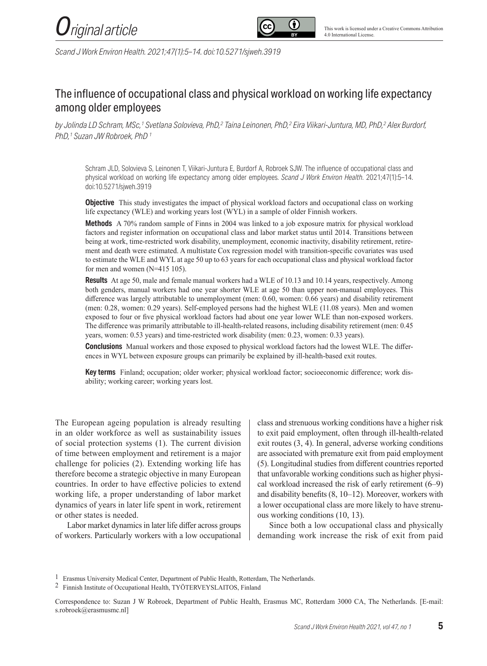



*Scand J Work Environ Health. 2021;47(1):5–14. doi:10.5271/sjweh.3919*

## The influence of occupational class and physical workload on working life expectancy among older employees

*by Jolinda LD Schram, MSc,1 Svetlana Solovieva, PhD,2 Taina Leinonen, PhD,2 Eira Viikari-Juntura, MD, PhD,2 Alex Burdorf, PhD,1 Suzan JW Robroek, PhD 1*

Schram JLD, Solovieva S, Leinonen T, Viikari-Juntura E, Burdorf A, Robroek SJW. The influence of occupational class and physical workload on working life expectancy among older employees. *Scand J Work Environ Health*. 2021;47(1):5–14. doi:10.5271/sjweh.3919

**Objective**This study investigates the impact of physical workload factors and occupational class on working life expectancy (WLE) and working years lost (WYL) in a sample of older Finnish workers.

**Methods** A 70% random sample of Finns in 2004 was linked to a job exposure matrix for physical workload factors and register information on occupational class and labor market status until 2014. Transitions between being at work, time-restricted work disability, unemployment, economic inactivity, disability retirement, retirement and death were estimated. A multistate Cox regression model with transition-specific covariates was used to estimate the WLE and WYL at age 50 up to 63 years for each occupational class and physical workload factor for men and women (N=415 105).

**Results** At age 50, male and female manual workers had a WLE of 10.13 and 10.14 years, respectively. Among both genders, manual workers had one year shorter WLE at age 50 than upper non-manual employees. This difference was largely attributable to unemployment (men: 0.60, women: 0.66 years) and disability retirement (men: 0.28, women: 0.29 years). Self-employed persons had the highest WLE (11.08 years). Men and women exposed to four or five physical workload factors had about one year lower WLE than non-exposed workers. The difference was primarily attributable to ill-health-related reasons, including disability retirement (men: 0.45 years, women: 0.53 years) and time-restricted work disability (men: 0.23, women: 0.33 years).

**Conclusions** Manual workers and those exposed to physical workload factors had the lowest WLE. The differences in WYL between exposure groups can primarily be explained by ill-health-based exit routes.

**Key terms**Finland; occupation; older worker; physical workload factor; socioeconomic difference; work disability; working career; working years lost.

The European ageing population is already resulting in an older workforce as well as sustainability issues of social protection systems (1). The current division of time between employment and retirement is a major challenge for policies (2). Extending working life has therefore become a strategic objective in many European countries. In order to have effective policies to extend working life, a proper understanding of labor market dynamics of years in later life spent in work, retirement or other states is needed.

Labor market dynamics in later life differ across groups of workers. Particularly workers with a low occupational class and strenuous working conditions have a higher risk to exit paid employment, often through ill-health-related exit routes (3, 4). In general, adverse working conditions are associated with premature exit from paid employment (5). Longitudinal studies from different countries reported that unfavorable working conditions such as higher physical workload increased the risk of early retirement (6–9) and disability benefits (8, 10–12). Moreover, workers with a lower occupational class are more likely to have strenuous working conditions (10, 13).

Since both a low occupational class and physically demanding work increase the risk of exit from paid

<sup>1</sup> Erasmus University Medical Center, Department of Public Health, Rotterdam, The Netherlands.

<sup>2</sup> Finnish Institute of Occupational Health, TYÖTERVEYSLAITOS, Finland

Correspondence to: Suzan J W Robroek, Department of Public Health, Erasmus MC, Rotterdam 3000 CA, The Netherlands. [E-mail: s.robroek@erasmusmc.nl]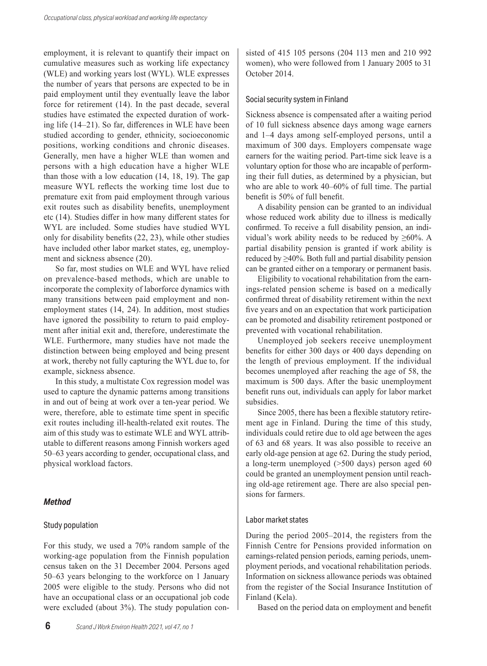employment, it is relevant to quantify their impact on cumulative measures such as working life expectancy (WLE) and working years lost (WYL). WLE expresses the number of years that persons are expected to be in paid employment until they eventually leave the labor force for retirement (14). In the past decade, several studies have estimated the expected duration of working life (14–21). So far, differences in WLE have been studied according to gender, ethnicity, socioeconomic positions, working conditions and chronic diseases. Generally, men have a higher WLE than women and persons with a high education have a higher WLE than those with a low education (14, 18, 19). The gap measure WYL reflects the working time lost due to premature exit from paid employment through various exit routes such as disability benefits, unemployment etc (14). Studies differ in how many different states for WYL are included. Some studies have studied WYL only for disability benefits (22, 23), while other studies have included other labor market states, eg, unemployment and sickness absence (20).

So far, most studies on WLE and WYL have relied on prevalence-based methods, which are unable to incorporate the complexity of laborforce dynamics with many transitions between paid employment and nonemployment states (14, 24). In addition, most studies have ignored the possibility to return to paid employment after initial exit and, therefore, underestimate the WLE. Furthermore, many studies have not made the distinction between being employed and being present at work, thereby not fully capturing the WYL due to, for example, sickness absence.

In this study, a multistate Cox regression model was used to capture the dynamic patterns among transitions in and out of being at work over a ten-year period. We were, therefore, able to estimate time spent in specific exit routes including ill-health-related exit routes. The aim of this study was to estimate WLE and WYL attributable to different reasons among Finnish workers aged 50–63 years according to gender, occupational class, and physical workload factors.

#### *Method*

#### Study population

For this study, we used a 70% random sample of the working-age population from the Finnish population census taken on the 31 December 2004. Persons aged 50–63 years belonging to the workforce on 1 January 2005 were eligible to the study. Persons who did not have an occupational class or an occupational job code were excluded (about 3%). The study population consisted of 415 105 persons (204 113 men and 210 992 women), who were followed from 1 January 2005 to 31 October 2014.

#### Social security system in Finland

Sickness absence is compensated after a waiting period of 10 full sickness absence days among wage earners and 1–4 days among self-employed persons, until a maximum of 300 days. Employers compensate wage earners for the waiting period. Part-time sick leave is a voluntary option for those who are incapable of performing their full duties, as determined by a physician, but who are able to work 40–60% of full time. The partial benefit is 50% of full benefit.

A disability pension can be granted to an individual whose reduced work ability due to illness is medically confirmed. To receive a full disability pension, an individual's work ability needs to be reduced by  $\geq 60\%$ . A partial disability pension is granted if work ability is reduced by ≥40%. Both full and partial disability pension can be granted either on a temporary or permanent basis.

Eligibility to vocational rehabilitation from the earnings-related pension scheme is based on a medically confirmed threat of disability retirement within the next five years and on an expectation that work participation can be promoted and disability retirement postponed or prevented with vocational rehabilitation.

Unemployed job seekers receive unemployment benefits for either 300 days or 400 days depending on the length of previous employment. If the individual becomes unemployed after reaching the age of 58, the maximum is 500 days. After the basic unemployment benefit runs out, individuals can apply for labor market subsidies.

Since 2005, there has been a flexible statutory retirement age in Finland. During the time of this study, individuals could retire due to old age between the ages of 63 and 68 years. It was also possible to receive an early old-age pension at age 62. During the study period, a long-term unemployed (>500 days) person aged 60 could be granted an unemployment pension until reaching old-age retirement age. There are also special pensions for farmers.

#### Labor market states

During the period 2005–2014, the registers from the Finnish Centre for Pensions provided information on earnings-related pension periods, earning periods, unemployment periods, and vocational rehabilitation periods. Information on sickness allowance periods was obtained from the register of the Social Insurance Institution of Finland (Kela).

Based on the period data on employment and benefit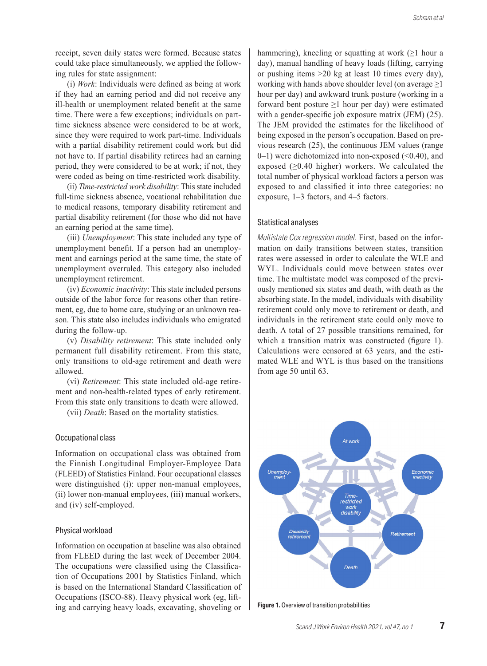receipt, seven daily states were formed. Because states could take place simultaneously, we applied the following rules for state assignment:

(i) *Work*: Individuals were defined as being at work if they had an earning period and did not receive any ill-health or unemployment related benefit at the same time. There were a few exceptions; individuals on parttime sickness absence were considered to be at work, since they were required to work part-time. Individuals with a partial disability retirement could work but did not have to. If partial disability retirees had an earning period, they were considered to be at work; if not, they were coded as being on time-restricted work disability.

(ii) *Time-restricted work disability*: This state included full-time sickness absence, vocational rehabilitation due to medical reasons, temporary disability retirement and partial disability retirement (for those who did not have an earning period at the same time).

(iii) *Unemployment*: This state included any type of unemployment benefit. If a person had an unemployment and earnings period at the same time, the state of unemployment overruled. This category also included unemployment retirement.

(iv) *Economic inactivity*: This state included persons outside of the labor force for reasons other than retirement, eg, due to home care, studying or an unknown reason. This state also includes individuals who emigrated during the follow-up.

(v) *Disability retirement*: This state included only permanent full disability retirement. From this state, only transitions to old-age retirement and death were allowed.

(vi) *Retirement*: This state included old-age retirement and non-health-related types of early retirement. From this state only transitions to death were allowed.

(vii) *Death*: Based on the mortality statistics.

#### Occupational class

Information on occupational class was obtained from the Finnish Longitudinal Employer-Employee Data (FLEED) of Statistics Finland. Four occupational classes were distinguished (i): upper non-manual employees, (ii) lower non-manual employees, (iii) manual workers, and (iv) self-employed.

#### Physical workload

Information on occupation at baseline was also obtained from FLEED during the last week of December 2004. The occupations were classified using the Classification of Occupations 2001 by Statistics Finland, which is based on the International Standard Classification of Occupations (ISCO-88). Heavy physical work (eg, lifting and carrying heavy loads, excavating, shoveling or hammering), kneeling or squatting at work  $(≥1$  hour a day), manual handling of heavy loads (lifting, carrying or pushing items >20 kg at least 10 times every day), working with hands above shoulder level (on average  $\geq$ 1 hour per day) and awkward trunk posture (working in a forward bent posture  $\geq 1$  hour per day) were estimated with a gender-specific job exposure matrix (JEM) (25). The JEM provided the estimates for the likelihood of being exposed in the person's occupation. Based on previous research (25), the continuous JEM values (range  $(0-1)$  were dichotomized into non-exposed  $(\leq 0.40)$ , and exposed  $(≥0.40$  higher) workers. We calculated the total number of physical workload factors a person was exposed to and classified it into three categories: no exposure, 1–3 factors, and 4–5 factors.

#### Statistical analyses

*Multistate Cox regression model.* First, based on the information on daily transitions between states, transition rates were assessed in order to calculate the WLE and WYL. Individuals could move between states over time. The multistate model was composed of the previously mentioned six states and death, with death as the absorbing state. In the model, individuals with disability retirement could only move to retirement or death, and individuals in the retirement state could only move to death. A total of 27 possible transitions remained, for which a transition matrix was constructed (figure 1). Calculations were censored at 63 years, and the estimated WLE and WYL is thus based on the transitions from age 50 until 63.



**Figure 1.** Overview of transition probabilities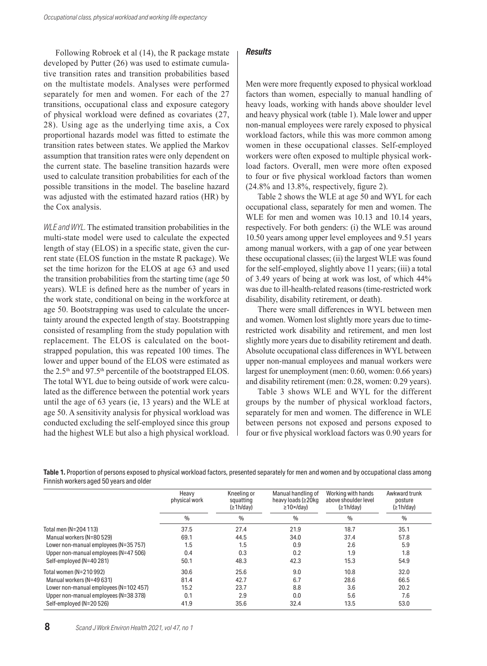Following Robroek et al (14), the R package mstate developed by Putter (26) was used to estimate cumulative transition rates and transition probabilities based on the multistate models. Analyses were performed separately for men and women. For each of the 27 transitions, occupational class and exposure category of physical workload were defined as covariates (27, 28). Using age as the underlying time axis, a Cox proportional hazards model was fitted to estimate the transition rates between states. We applied the Markov assumption that transition rates were only dependent on the current state. The baseline transition hazards were used to calculate transition probabilities for each of the possible transitions in the model. The baseline hazard was adjusted with the estimated hazard ratios (HR) by the Cox analysis.

*WLE and WYL.* The estimated transition probabilities in the multi-state model were used to calculate the expected length of stay (ELOS) in a specific state, given the current state (ELOS function in the mstate R package). We set the time horizon for the ELOS at age 63 and used the transition probabilities from the starting time (age 50 years). WLE is defined here as the number of years in the work state, conditional on being in the workforce at age 50. Bootstrapping was used to calculate the uncertainty around the expected length of stay. Bootstrapping consisted of resampling from the study population with replacement. The ELOS is calculated on the bootstrapped population, this was repeated 100 times. The lower and upper bound of the ELOS were estimated as the 2.5<sup>th</sup> and 97.5<sup>th</sup> percentile of the bootstrapped ELOS. The total WYL due to being outside of work were calculated as the difference between the potential work years until the age of 63 years (ie, 13 years) and the WLE at age 50. A sensitivity analysis for physical workload was conducted excluding the self-employed since this group had the highest WLE but also a high physical workload.

#### *Results*

Men were more frequently exposed to physical workload factors than women, especially to manual handling of heavy loads, working with hands above shoulder level and heavy physical work (table 1). Male lower and upper non-manual employees were rarely exposed to physical workload factors, while this was more common among women in these occupational classes. Self-employed workers were often exposed to multiple physical workload factors. Overall, men were more often exposed to four or five physical workload factors than women (24.8% and 13.8%, respectively, figure 2).

Table 2 shows the WLE at age 50 and WYL for each occupational class, separately for men and women. The WLE for men and women was 10.13 and 10.14 years, respectively. For both genders: (i) the WLE was around 10.50 years among upper level employees and 9.51 years among manual workers, with a gap of one year between these occupational classes; (ii) the largest WLE was found for the self-employed, slightly above 11 years; (iii) a total of 3.49 years of being at work was lost, of which 44% was due to ill-health-related reasons (time-restricted work disability, disability retirement, or death).

There were small differences in WYL between men and women. Women lost slightly more years due to timerestricted work disability and retirement, and men lost slightly more years due to disability retirement and death. Absolute occupational class differences in WYL between upper non-manual employees and manual workers were largest for unemployment (men: 0.60, women: 0.66 years) and disability retirement (men: 0.28, women: 0.29 years).

Table 3 shows WLE and WYL for the different groups by the number of physical workload factors, separately for men and women. The difference in WLE between persons not exposed and persons exposed to four or five physical workload factors was 0.90 years for

| <b>Table 1.</b> Proportion of persons exposed to physical workload factors, presented separately for men and women and by occupational class among |  |
|----------------------------------------------------------------------------------------------------------------------------------------------------|--|
| Finnish workers aged 50 years and older                                                                                                            |  |

|                                        | Heavy<br>physical work | Kneeling or<br>squatting<br>(21h/day) | Manual handling of<br>heavy loads (≥20kg<br>$\geq$ 10×/dav) | Working with hands<br>above shoulder level<br>(21h/day) | Awkward trunk<br>posture<br>(21h/day) |  |
|----------------------------------------|------------------------|---------------------------------------|-------------------------------------------------------------|---------------------------------------------------------|---------------------------------------|--|
|                                        | $\frac{0}{0}$          | $\%$                                  | $\frac{0}{0}$                                               | $\frac{0}{0}$                                           | $\frac{0}{0}$                         |  |
| Total men (N=204 113)                  | 37.5                   | 27.4                                  | 21.9                                                        | 18.7                                                    | 35.1                                  |  |
| Manual workers (N=80 529)              | 69.1                   | 44.5                                  | 34.0                                                        | 37.4                                                    | 57.8                                  |  |
| Lower non-manual employees (N=35 757)  | 1.5                    | 1.5                                   | 0.9                                                         | 2.6                                                     | 5.9                                   |  |
| Upper non-manual employees (N=47 506)  | 0.4                    | 0.3                                   | 0.2                                                         | 1.9                                                     | 1.8                                   |  |
| Self-employed (N=40 281)               | 50.1                   | 48.3                                  | 42.3                                                        | 15.3                                                    | 54.9                                  |  |
| Total women (N=210 992)                | 30.6                   | 25.6                                  | 9.0                                                         | 10.8                                                    | 32.0                                  |  |
| Manual workers (N=49 631)              | 81.4                   | 42.7                                  | 6.7                                                         | 28.6                                                    | 66.5                                  |  |
| Lower non-manual employees (N=102 457) | 15.2                   | 23.7                                  | 8.8                                                         | 3.6                                                     | 20.2                                  |  |
| Upper non-manual employees (N=38 378)  | 0.1                    | 2.9                                   | 0.0                                                         | 5.6                                                     | 7.6                                   |  |
| Self-employed (N=20 526)               | 41.9                   | 35.6                                  | 32.4                                                        | 13.5                                                    | 53.0                                  |  |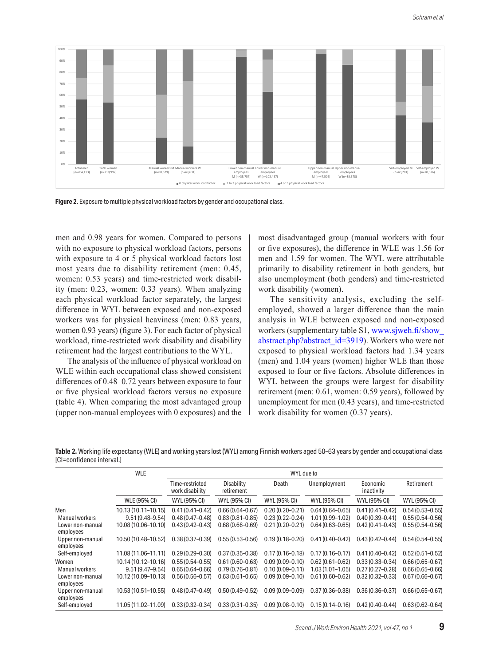

**Figure 2**. Exposure to multiple physical workload factors by gender and occupational class.

men and 0.98 years for women. Compared to persons with no exposure to physical workload factors, persons with exposure to 4 or 5 physical workload factors lost most years due to disability retirement (men: 0.45, women: 0.53 years) and time-restricted work disability (men: 0.23, women: 0.33 years). When analyzing each physical workload factor separately, the largest difference in WYL between exposed and non-exposed workers was for physical heaviness (men: 0.83 years, women 0.93 years) (figure 3). For each factor of physical workload, time-restricted work disability and disability retirement had the largest contributions to the WYL.

The analysis of the influence of physical workload on WLE within each occupational class showed consistent differences of 0.48–0.72 years between exposure to four or five physical workload factors versus no exposure (table 4). When comparing the most advantaged group (upper non-manual employees with 0 exposures) and the most disadvantaged group (manual workers with four or five exposures), the difference in WLE was 1.56 for men and 1.59 for women. The WYL were attributable primarily to disability retirement in both genders, but also unemployment (both genders) and time-restricted work disability (women).

The sensitivity analysis, excluding the selfemployed, showed a larger difference than the main analysis in WLE between exposed and non-exposed workers (supplementary table S1, [www.sjweh.fi/show\\_](http://www.sjweh.fi/show_abstract.php?abstract_id=3919) [abstract.php?abstract\\_id=3919](http://www.sjweh.fi/show_abstract.php?abstract_id=3919)). Workers who were not exposed to physical workload factors had 1.34 years (men) and 1.04 years (women) higher WLE than those exposed to four or five factors. Absolute differences in WYL between the groups were largest for disability retirement (men: 0.61, women: 0.59 years), followed by unemployment for men (0.43 years), and time-restricted work disability for women (0.37 years).

**Table 2.** Working life expectancy (WLE) and working years lost (WYL) among Finnish workers aged 50–63 years by gender and occupational class [CI=confidence interval.]

|                               | <b>WLE</b><br>WYL due to |                                    |                                 |                     |                     |                        |                     |
|-------------------------------|--------------------------|------------------------------------|---------------------------------|---------------------|---------------------|------------------------|---------------------|
|                               |                          | Time-restricted<br>work disability | <b>Disability</b><br>retirement | Death               | Unemployment        | Economic<br>inactivity | Retirement          |
|                               | <b>WLE (95% CI)</b>      | <b>WYL (95% CI)</b>                | WYL (95% CI)                    | <b>WYL (95% CI)</b> | <b>WYL (95% CI)</b> | <b>WYL (95% CI)</b>    | <b>WYL (95% CI)</b> |
| Men                           | 10.13 (10.11-10.15)      | $0.41(0.41 - 0.42)$                | $0.66(0.64 - 0.67)$             | $0.20(0.20 - 0.21)$ | $0.64(0.64 - 0.65)$ | $0.41(0.41 - 0.42)$    | $0.54(0.53 - 0.55)$ |
| Manual workers                | $9.51(9.48 - 9.54)$      | $0.48(0.47 - 0.48)$                | $0.83(0.81 - 0.85)$             | $0.23(0.22 - 0.24)$ | 1.01 (0.99-1.02)    | $0.40(0.39 - 0.41)$    | $0.55(0.54 - 0.56)$ |
| Lower non-manual<br>employees | 10.08 (10.06-10.10)      | $0.43(0.42 - 0.43)$                | $0.68(0.66 - 0.69)$             | $0.21(0.20 - 0.21)$ | $0.64(0.63 - 0.65)$ | $0.42(0.41 - 0.43)$    | $0.55(0.54 - 0.56)$ |
| Upper non-manual<br>employees | 10.50 (10.48-10.52)      | $0.38(0.37 - 0.39)$                | $0.55(0.53 - 0.56)$             | $0.19(0.18 - 0.20)$ | $0.41(0.40 - 0.42)$ | $0.43(0.42 - 0.44)$    | $0.54(0.54 - 0.55)$ |
| Self-employed                 | 11.08 (11.06-11.11)      | $0.29(0.29 - 0.30)$                | $0.37(0.35 - 0.38)$             | $0.17(0.16 - 0.18)$ | $0.17(0.16 - 0.17)$ | $0.41(0.40 - 0.42)$    | $0.52(0.51 - 0.52)$ |
| Women                         | 10.14 (10.12-10.16)      | $0.55(0.54 - 0.55)$                | $0.61(0.60 - 0.63)$             | $0.09(0.09 - 0.10)$ | $0.62(0.61 - 0.62)$ | $0.33(0.33 - 0.34)$    | $0.66(0.65 - 0.67)$ |
| Manual workers                | $9.51(9.47 - 9.54)$      | $0.65(0.64 - 0.66)$                | $0.79(0.76 - 0.81)$             | $0.10(0.09 - 0.11)$ | $1.03(1.01 - 1.05)$ | $0.27(0.27-0.28)$      | $0.66(0.65 - 0.66)$ |
| Lower non-manual              | 10.12 (10.09-10.13)      | $0.56(0.56 - 0.57)$                | $0.63(0.61 - 0.65)$             | $0.09(0.09 - 0.10)$ | $0.61(0.60 - 0.62)$ | $0.32(0.32 - 0.33)$    | $0.67(0.66 - 0.67)$ |
| employees<br>Upper non-manual | 10.53 (10.51–10.55)      | $0.48(0.47-0.49)$                  | $0.50(0.49 - 0.52)$             | $0.09(0.09 - 0.09)$ | $0.37(0.36 - 0.38)$ | $0.36(0.36 - 0.37)$    | $0.66(0.65 - 0.67)$ |
| employees                     |                          |                                    |                                 |                     |                     |                        |                     |
| Self-employed                 | 11.05 (11.02-11.09)      | $0.33(0.32 - 0.34)$                | $0.33(0.31 - 0.35)$             | $0.09(0.08 - 0.10)$ | $0.15(0.14 - 0.16)$ | $0.42(0.40 - 0.44)$    | $0.63(0.62 - 0.64)$ |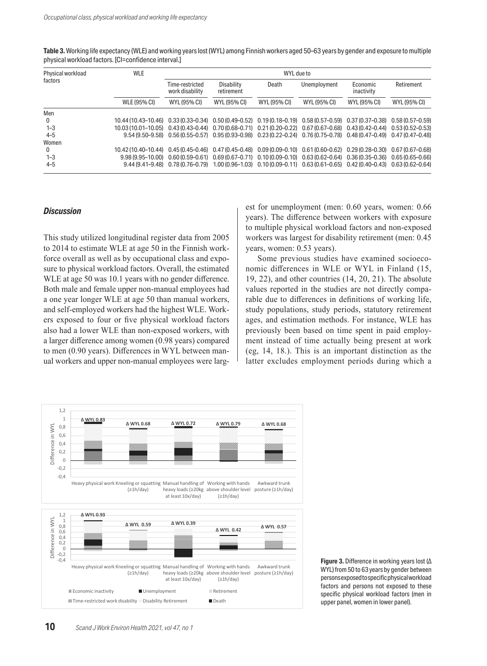| Table 3. Working life expectancy (WLE) and working years lost (WYL) among Finnish workers aged 50-63 years by gender and exposure to multiple |  |
|-----------------------------------------------------------------------------------------------------------------------------------------------|--|
| physical workload factors. [CI=confidence interval.]                                                                                          |  |

| Physical workload | <b>WLE</b>                                                                                                                     | WYL due to                         |                                                                                                                        |              |              |                        |              |  |
|-------------------|--------------------------------------------------------------------------------------------------------------------------------|------------------------------------|------------------------------------------------------------------------------------------------------------------------|--------------|--------------|------------------------|--------------|--|
| factors           |                                                                                                                                | Time-restricted<br>work disability | Disability<br>retirement                                                                                               | Death        | Unemployment | Economic<br>inactivity | Retirement   |  |
|                   | <b>WLE (95% CI)</b>                                                                                                            | WYL (95% CI)                       | WYL (95% CI)                                                                                                           | WYL (95% CI) | WYL (95% CI) | WYL (95% CI)           | WYL (95% CI) |  |
| Men               |                                                                                                                                |                                    |                                                                                                                        |              |              |                        |              |  |
| $\mathbf{0}$      | 10.44 (10.43-10.46) 0.33 (0.33-0.34) 0.50 (0.49-0.52) 0.19 (0.18-0.19) 0.58 (0.57-0.59) 0.37 (0.37-0.38) 0.58 (0.57-0.59)      |                                    |                                                                                                                        |              |              |                        |              |  |
| $1 - 3$           | 10.03 (10.01-10.05) 0.43 (0.43-0.44) 0.70 (0.68-0.71) 0.21 (0.20-0.22) 0.67 (0.67-0.68) 0.43 (0.42-0.44) 0.53 (0.52-0.53)      |                                    |                                                                                                                        |              |              |                        |              |  |
| $4 - 5$           |                                                                                                                                |                                    | 9.54 (9.50-9.58) 0.56 (0.55-0.57) 0.95 (0.93-0.98) 0.23 (0.22-0.24) 0.76 (0.75-0.78) 0.48 (0.47-0.49) 0.47 (0.47-0.48) |              |              |                        |              |  |
| Women             |                                                                                                                                |                                    |                                                                                                                        |              |              |                        |              |  |
| 0                 | 10.42 (10.40-10.44) 0.45 (0.45-0.46) 0.47 (0.45-0.48) 0.09 (0.09-0.10) 0.61 (0.60-0.62) 0.29 (0.28-0.30) 0.67 (0.67-0.68)      |                                    |                                                                                                                        |              |              |                        |              |  |
| $1 - 3$           | $9.98(9.95-10.00)$ $0.60(0.59-0.61)$ $0.69(0.67-0.71)$ $0.10(0.09-0.10)$ $0.63(0.62-0.64)$ $0.36(0.35-0.36)$ $0.65(0.65-0.66)$ |                                    |                                                                                                                        |              |              |                        |              |  |
| $4 - 5$           |                                                                                                                                |                                    | 9.44 (9.41-9.48) 0.78 (0.76-0.79) 1.00 (0.96-1.03) 0.10 (0.09-0.11) 0.63 (0.61-0.65) 0.42 (0.40-0.43) 0.63 (0.62-0.64) |              |              |                        |              |  |

#### *Discussion*

This study utilized longitudinal register data from 2005 to 2014 to estimate WLE at age 50 in the Finnish workforce overall as well as by occupational class and exposure to physical workload factors. Overall, the estimated WLE at age 50 was 10.1 years with no gender difference. Both male and female upper non-manual employees had a one year longer WLE at age 50 than manual workers, and self-employed workers had the highest WLE. Workers exposed to four or five physical workload factors also had a lower WLE than non-exposed workers, with a larger difference among women (0.98 years) compared to men (0.90 years). Differences in WYL between manual workers and upper non-manual employees were largest for unemployment (men: 0.60 years, women: 0.66 years). The difference between workers with exposure to multiple physical workload factors and non-exposed workers was largest for disability retirement (men: 0.45 years, women: 0.53 years).

Some previous studies have examined socioeconomic differences in WLE or WYL in Finland (15, 19, 22), and other countries (14, 20, 21). The absolute values reported in the studies are not directly comparable due to differences in definitions of working life, study populations, study periods, statutory retirement ages, and estimation methods. For instance, WLE has previously been based on time spent in paid employment instead of time actually being present at work (eg, 14, 18.). This is an important distinction as the latter excludes employment periods during which a



**Figure 3.** Difference in working years lost (Δ WYL) from 50 to 63 years by gender between persons exposed to specific physical workload factors and persons not exposed to these specific physical workload factors (men in upper panel, women in lower panel).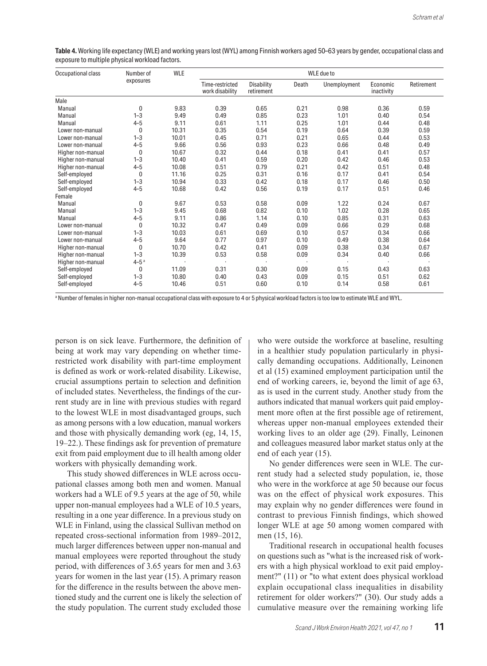| <b>Table 4.</b> Working life expectancy (WLE) and working years lost (WYL) among Finnish workers aged 50–63 years by gender, occupational class and |  |  |
|-----------------------------------------------------------------------------------------------------------------------------------------------------|--|--|
| exposure to multiple physical workload factors.                                                                                                     |  |  |

| Occupational class | Number of<br>exposures | WLE   | WLE due to                         |                          |       |              |                        |            |
|--------------------|------------------------|-------|------------------------------------|--------------------------|-------|--------------|------------------------|------------|
|                    |                        |       | Time-restricted<br>work disability | Disability<br>retirement | Death | Unemployment | Economic<br>inactivity | Retirement |
| Male               |                        |       |                                    |                          |       |              |                        |            |
| Manual             | 0                      | 9.83  | 0.39                               | 0.65                     | 0.21  | 0.98         | 0.36                   | 0.59       |
| Manual             | $1 - 3$                | 9.49  | 0.49                               | 0.85                     | 0.23  | 1.01         | 0.40                   | 0.54       |
| Manual             | $4 - 5$                | 9.11  | 0.61                               | 1.11                     | 0.25  | 1.01         | 0.44                   | 0.48       |
| Lower non-manual   | 0                      | 10.31 | 0.35                               | 0.54                     | 0.19  | 0.64         | 0.39                   | 0.59       |
| Lower non-manual   | $1 - 3$                | 10.01 | 0.45                               | 0.71                     | 0.21  | 0.65         | 0.44                   | 0.53       |
| Lower non-manual   | $4 - 5$                | 9.66  | 0.56                               | 0.93                     | 0.23  | 0.66         | 0.48                   | 0.49       |
| Higher non-manual  | 0                      | 10.67 | 0.32                               | 0.44                     | 0.18  | 0.41         | 0.41                   | 0.57       |
| Higher non-manual  | $1 - 3$                | 10.40 | 0.41                               | 0.59                     | 0.20  | 0.42         | 0.46                   | 0.53       |
| Higher non-manual  | $4 - 5$                | 10.08 | 0.51                               | 0.79                     | 0.21  | 0.42         | 0.51                   | 0.48       |
| Self-employed      | 0                      | 11.16 | 0.25                               | 0.31                     | 0.16  | 0.17         | 0.41                   | 0.54       |
| Self-employed      | $1 - 3$                | 10.94 | 0.33                               | 0.42                     | 0.18  | 0.17         | 0.46                   | 0.50       |
| Self-employed      | $4 - 5$                | 10.68 | 0.42                               | 0.56                     | 0.19  | 0.17         | 0.51                   | 0.46       |
| Female             |                        |       |                                    |                          |       |              |                        |            |
| Manual             | 0                      | 9.67  | 0.53                               | 0.58                     | 0.09  | 1.22         | 0.24                   | 0.67       |
| Manual             | $1 - 3$                | 9.45  | 0.68                               | 0.82                     | 0.10  | 1.02         | 0.28                   | 0.65       |
| Manual             | $4 - 5$                | 9.11  | 0.86                               | 1.14                     | 0.10  | 0.85         | 0.31                   | 0.63       |
| Lower non-manual   | 0                      | 10.32 | 0.47                               | 0.49                     | 0.09  | 0.66         | 0.29                   | 0.68       |
| Lower non-manual   | $1 - 3$                | 10.03 | 0.61                               | 0.69                     | 0.10  | 0.57         | 0.34                   | 0.66       |
| Lower non-manual   | $4 - 5$                | 9.64  | 0.77                               | 0.97                     | 0.10  | 0.49         | 0.38                   | 0.64       |
| Higher non-manual  | $\mathbf{0}$           | 10.70 | 0.42                               | 0.41                     | 0.09  | 0.38         | 0.34                   | 0.67       |
| Higher non-manual  | $1 - 3$                | 10.39 | 0.53                               | 0.58                     | 0.09  | 0.34         | 0.40                   | 0.66       |
| Higher non-manual  | $4 - 5a$               |       |                                    |                          |       |              |                        |            |
| Self-employed      | $\mathbf{0}$           | 11.09 | 0.31                               | 0.30                     | 0.09  | 0.15         | 0.43                   | 0.63       |
| Self-employed      | $1 - 3$                | 10.80 | 0.40                               | 0.43                     | 0.09  | 0.15         | 0.51                   | 0.62       |
| Self-employed      | $4 - 5$                | 10.46 | 0.51                               | 0.60                     | 0.10  | 0.14         | 0.58                   | 0.61       |

a Number of females in higher non-manual occupational class with exposure to 4 or 5 physical workload factors is too low to estimate WLE and WYL.

person is on sick leave. Furthermore, the definition of being at work may vary depending on whether timerestricted work disability with part-time employment is defined as work or work-related disability. Likewise, crucial assumptions pertain to selection and definition of included states. Nevertheless, the findings of the current study are in line with previous studies with regard to the lowest WLE in most disadvantaged groups, such as among persons with a low education, manual workers and those with physically demanding work (eg, 14, 15, 19–22.). These findings ask for prevention of premature exit from paid employment due to ill health among older workers with physically demanding work.

This study showed differences in WLE across occupational classes among both men and women. Manual workers had a WLE of 9.5 years at the age of 50, while upper non-manual employees had a WLE of 10.5 years, resulting in a one year difference. In a previous study on WLE in Finland, using the classical Sullivan method on repeated cross-sectional information from 1989–2012, much larger differences between upper non-manual and manual employees were reported throughout the study period, with differences of 3.65 years for men and 3.63 years for women in the last year (15). A primary reason for the difference in the results between the above mentioned study and the current one is likely the selection of the study population. The current study excluded those who were outside the workforce at baseline, resulting in a healthier study population particularly in physically demanding occupations. Additionally, Leinonen et al (15) examined employment participation until the end of working careers, ie, beyond the limit of age 63, as is used in the current study. Another study from the authors indicated that manual workers quit paid employment more often at the first possible age of retirement, whereas upper non-manual employees extended their working lives to an older age (29). Finally, Leinonen and colleagues measured labor market status only at the end of each year (15).

No gender differences were seen in WLE. The current study had a selected study population, ie, those who were in the workforce at age 50 because our focus was on the effect of physical work exposures. This may explain why no gender differences were found in contrast to previous Finnish findings, which showed longer WLE at age 50 among women compared with men (15, 16).

Traditional research in occupational health focuses on questions such as "what is the increased risk of workers with a high physical workload to exit paid employment?" (11) or "to what extent does physical workload explain occupational class inequalities in disability retirement for older workers?" (30). Our study adds a cumulative measure over the remaining working life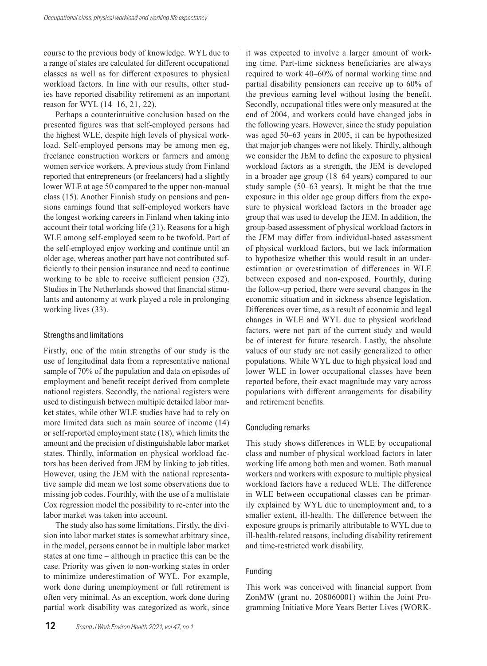course to the previous body of knowledge. WYL due to a range of states are calculated for different occupational classes as well as for different exposures to physical workload factors. In line with our results, other studies have reported disability retirement as an important reason for WYL (14–16, 21, 22).

Perhaps a counterintuitive conclusion based on the presented figures was that self-employed persons had the highest WLE, despite high levels of physical workload. Self-employed persons may be among men eg, freelance construction workers or farmers and among women service workers. A previous study from Finland reported that entrepreneurs (or freelancers) had a slightly lower WLE at age 50 compared to the upper non-manual class (15). Another Finnish study on pensions and pensions earnings found that self-employed workers have the longest working careers in Finland when taking into account their total working life (31). Reasons for a high WLE among self-employed seem to be twofold. Part of the self-employed enjoy working and continue until an older age, whereas another part have not contributed sufficiently to their pension insurance and need to continue working to be able to receive sufficient pension (32). Studies in The Netherlands showed that financial stimulants and autonomy at work played a role in prolonging working lives (33).

#### Strengths and limitations

Firstly, one of the main strengths of our study is the use of longitudinal data from a representative national sample of 70% of the population and data on episodes of employment and benefit receipt derived from complete national registers. Secondly, the national registers were used to distinguish between multiple detailed labor market states, while other WLE studies have had to rely on more limited data such as main source of income (14) or self-reported employment state (18), which limits the amount and the precision of distinguishable labor market states. Thirdly, information on physical workload factors has been derived from JEM by linking to job titles. However, using the JEM with the national representative sample did mean we lost some observations due to missing job codes. Fourthly, with the use of a multistate Cox regression model the possibility to re-enter into the labor market was taken into account.

The study also has some limitations. Firstly, the division into labor market states is somewhat arbitrary since, in the model, persons cannot be in multiple labor market states at one time – although in practice this can be the case. Priority was given to non-working states in order to minimize underestimation of WYL. For example, work done during unemployment or full retirement is often very minimal. As an exception, work done during partial work disability was categorized as work, since

it was expected to involve a larger amount of working time. Part-time sickness beneficiaries are always required to work 40–60% of normal working time and partial disability pensioners can receive up to 60% of the previous earning level without losing the benefit. Secondly, occupational titles were only measured at the end of 2004, and workers could have changed jobs in the following years. However, since the study population was aged 50–63 years in 2005, it can be hypothesized that major job changes were not likely. Thirdly, although we consider the JEM to define the exposure to physical workload factors as a strength, the JEM is developed in a broader age group (18–64 years) compared to our study sample (50–63 years). It might be that the true exposure in this older age group differs from the exposure to physical workload factors in the broader age group that was used to develop the JEM. In addition, the group-based assessment of physical workload factors in the JEM may differ from individual-based assessment of physical workload factors, but we lack information to hypothesize whether this would result in an underestimation or overestimation of differences in WLE between exposed and non-exposed. Fourthly, during the follow-up period, there were several changes in the economic situation and in sickness absence legislation. Differences over time, as a result of economic and legal changes in WLE and WYL due to physical workload factors, were not part of the current study and would be of interest for future research. Lastly, the absolute values of our study are not easily generalized to other populations. While WYL due to high physical load and lower WLE in lower occupational classes have been reported before, their exact magnitude may vary across populations with different arrangements for disability and retirement benefits.

#### Concluding remarks

This study shows differences in WLE by occupational class and number of physical workload factors in later working life among both men and women. Both manual workers and workers with exposure to multiple physical workload factors have a reduced WLE. The difference in WLE between occupational classes can be primarily explained by WYL due to unemployment and, to a smaller extent, ill-health. The difference between the exposure groups is primarily attributable to WYL due to ill-health-related reasons, including disability retirement and time-restricted work disability.

#### Funding

This work was conceived with financial support from ZonMW (grant no. 208060001) within the Joint Programming Initiative More Years Better Lives (WORK-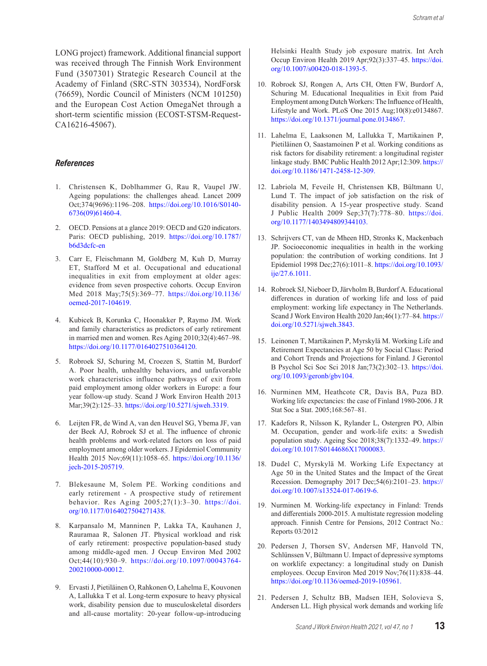LONG project) framework. Additional financial support was received through The Finnish Work Environment Fund (3507301) Strategic Research Council at the Academy of Finland (SRC-STN 303534), NordForsk (76659), Nordic Council of Ministers (NCM 101250) and the European Cost Action OmegaNet through a short-term scientific mission (ECOST-STSM-Request-CA16216-45067).

#### *References*

- 1. Christensen K, Doblhammer G, Rau R, Vaupel JW. Ageing populations: the [c](https://www.ncbi.nlm.nih.gov/entrez/query.fcgi?cmd=Retrieve&db=PubMed&list_uids=19801098&dopt=Abstract)hallenges ahead. Lancet 2009 Oct;374(9696):1196–208. [https://doi.org/10.1016/S0140-](https://doi.org/10.1016/S0140-6736(09)61460-4) [6736\(09\)61460-4](https://doi.org/10.1016/S0140-6736(09)61460-4).
- 2. OECD. Pensions at a glance 2019: OECD and G20 indicators. Paris: OECD publishing, 2019. [https://doi.org/10.1787/](https://doi.org/10.1787/b6d3dcfc-en) [b6d3dcfc-en](https://doi.org/10.1787/b6d3dcfc-en)
- 3. Carr E, Fleischmann M, Goldberg M, Kuh D, Murray ET, Stafford M et al. Occupational and educational inequalities in exit from employment at older ages: evidence from seven prospectiv[e](https://www.ncbi.nlm.nih.gov/entrez/query.fcgi?cmd=Retrieve&db=PubMed&list_uids=29530976&dopt=Abstract) cohorts. Occup Environ Med 2018 May;75(5):369–77. [https://doi.org/10.1136/](https://doi.org/10.1136/oemed-2017-104619) [oemed-2017-104619](https://doi.org/10.1136/oemed-2017-104619).
- 4. Kubicek B, Korunka C, Hoonakker P, Raymo JM. Work and family characteristics as predictors of early retirement in married men and women. Res Aging 2010;32(4):467–98. <https://doi.org/10.1177/0164027510364120>.
- 5. Robroek SJ, Schuring M, Croezen S, Stattin M, Burdorf A. Poor health, unhealthy behaviors, and unfavorable work characteristics influence pathways of exit from paid employment among older workers in Europe: a four year follow-up study. Scand J Work Environ Health 2013 Mar;39(2):125–33[.](https://www.ncbi.nlm.nih.gov/entrez/query.fcgi?cmd=Retrieve&db=PubMed&list_uids=22949091&dopt=Abstract) <https://doi.org/10.5271/sjweh.3319>.
- 6. Leijten FR, de Wind A, van den Heuvel SG, Ybema JF, van der Beek AJ, Robroek SJ et al. The influence of chronic health problems and work-related factors on loss of paid employment among older workers. [J](https://www.ncbi.nlm.nih.gov/entrez/query.fcgi?cmd=Retrieve&db=PubMed&list_uids=26112957&dopt=Abstract) Epidemiol Community Health 2015 Nov;69(11):1058–65. [https://doi.org/10.1136/](https://doi.org/10.1136/jech-2015-205719) [jech-2015-205719](https://doi.org/10.1136/jech-2015-205719).
- 7. Blekesaune M, Solem PE. Working conditions and early retirement - A prospective study of retirement behavior. Res Aging 2005;27(1):3–30. [https://doi.](https://doi.org/10.1177/0164027504271438) [org/10.1177/0164027504271438](https://doi.org/10.1177/0164027504271438).
- 8. Karpansalo M, Manninen P, Lakka TA, Kauhanen J, Rauramaa R, Salonen JT. Physical workload and risk of early retirement: prospective population-based study among middle-age[d](https://www.ncbi.nlm.nih.gov/entrez/query.fcgi?cmd=Retrieve&db=PubMed&list_uids=12391772&dopt=Abstract) men. J Occup Environ Med 2002 Oct;44(10):930–9. [https://doi.org/10.1097/00043764-](https://doi.org/10.1097/00043764-200210000-00012) [200210000-00012](https://doi.org/10.1097/00043764-200210000-00012).
- 9. ErvastiJ, Pietiläinen O, Rahkonen O, Lahelma E, Kouvonen A, Lallukka T et al. Long-term exposure to heavy physical work, disability pension due to musculoskeletal disorders and all-cause mortality: 20-year follow-up-introducing

Helsinki Health Study job exposure matrix. Int Arch Occup Environ Health 2019 Apr;92(3):337–45[.](https://www.ncbi.nlm.nih.gov/entrez/query.fcgi?cmd=Retrieve&db=PubMed&list_uids=30511342&dopt=Abstract) [https://doi.](https://doi.org/10.1007/s00420-018-1393-5) [org/10.1007/s00420-018-1393-5](https://doi.org/10.1007/s00420-018-1393-5).

- 10. Robroek SJ, Rongen A, Arts CH, Otten FW, Burdorf A, Schuring M. Educational Inequalities in Exit from Paid Employment among Dutch Workers: The Influence of Health, Lifestyle and Work. PLoS One 2015 Aug;10(8):e0134867. <https://doi.org/10.1371/journal.pone.0134867>.
- 11. Lahelma E, Laaksonen M, Lallukka T, Martikainen P, Pietiläinen O, Saastamoinen P et al. Working conditions as risk factors for disability retirement: a longitudinal register linkage study. BMC Public Health 2012 Apr;12:309[.](https://www.ncbi.nlm.nih.gov/entrez/query.fcgi?cmd=Retrieve&db=PubMed&list_uids=22537302&dopt=Abstract) [https://](https://doi.org/10.1186/1471-2458-12-309) [doi.org/10.1186/1471-2458-12-309](https://doi.org/10.1186/1471-2458-12-309).
- 12. Labriola M, Feveile H, Christensen KB, Bültmann U, Lund T. The impact of job satisfaction on the risk of disability pension. A 15-year prospective [st](https://www.ncbi.nlm.nih.gov/entrez/query.fcgi?cmd=Retrieve&db=PubMed&list_uids=19666670&dopt=Abstract)udy. Scand J Public Health 2009 Sep;37(7):778–80. [https://doi.](https://doi.org/10.1177/1403494809344103) [org/10.1177/1403494809344103](https://doi.org/10.1177/1403494809344103).
- 13. Schrijvers CT, van de Mheen HD, Stronks K, Mackenbach JP. Socioeconomic inequalities in health in the working population: the contribution of working conditions. Int J Epidemiol 1998 Dec;27(6):1011–8. [https://doi.org/10.1093/](https://doi.org/10.1093/ije/27.6.1011) [ije/27.6.1011](https://doi.org/10.1093/ije/27.6.1011).
- 14. Robroek SJ, Nieboer D, Järvholm B, Burdorf A. Educational differences in duration of working life and loss of paid employment: working life expectancy in The Netherlands. Scand J Work Environ Health 2020 Jan;46(1):77–84[.](https://www.ncbi.nlm.nih.gov/entrez/query.fcgi?cmd=Retrieve&db=PubMed&list_uids=31419303&dopt=Abstract) [https://](https://doi.org/10.5271/sjweh.3843) [doi.org/10.5271/sjweh.3843](https://doi.org/10.5271/sjweh.3843).
- 15. Leinonen T, Martikainen P, Myrskylä M. Working Life and Retirement Expectancies at Age 50 by Social Class: Period and Cohort Trends and Projections for Finland. J Gerontol B Psychol Sci Soc Sci 2018 Jan;73(2):302–13[.](https://www.ncbi.nlm.nih.gov/entrez/query.fcgi?cmd=Retrieve&db=PubMed&list_uids=26560805&dopt=Abstract) [https://doi.](https://doi.org/10.1093/geronb/gbv104) [org/10.1093/geronb/gbv104](https://doi.org/10.1093/geronb/gbv104).
- 16. Nurminen MM, Heathcote CR, Davis BA, Puza BD. Working life expectancies: the case of Finland 1980-2006. J R Stat Soc a Stat. 2005;168:567–81.
- 17. Kadefors R, Nilsson K, Rylander L, Ostergren PO, Albin M. Occupation, gender and work-life exits: a Swedish population study. Ageing Soc 2018;38(7):1332–49. [https://](https://doi.org/10.1017/S0144686X17000083) [doi.org/10.1017/S0144686X17000083](https://doi.org/10.1017/S0144686X17000083).
- 18. Dudel C, Myrskylä M. Working Life Expectancy at Age 50 in the United States and the Impact of t[he](https://www.ncbi.nlm.nih.gov/entrez/query.fcgi?cmd=Retrieve&db=PubMed&list_uids=29019034&dopt=Abstract) Great Recession. Demography 2017 Dec;54(6):2101–23. [https://](https://doi.org/10.1007/s13524-017-0619-6) [doi.org/10.1007/s13524-017-0619-6](https://doi.org/10.1007/s13524-017-0619-6).
- 19. Nurminen M. Working-life expectancy in Finland: Trends and differentials 2000-2015. A multistate regression modeling approach. Finnish Centre for Pensions, 2012 Contract No.: Reports 03/2012
- 20. Pedersen J, Thorsen SV, Andersen MF, Hanvold TN, Schlünssen V, Bültmann U. Impact of depressive symptoms on worklife expectancy: a longitudinal study on Danish employees. Occup Environ Med 2019 Nov;76(11):838–44. <https://doi.org/10.1136/oemed-2019-105961>.
- 21. Pedersen J, Schultz BB, Madsen IEH, Solovieva S, Andersen LL. High physical work demands and working life